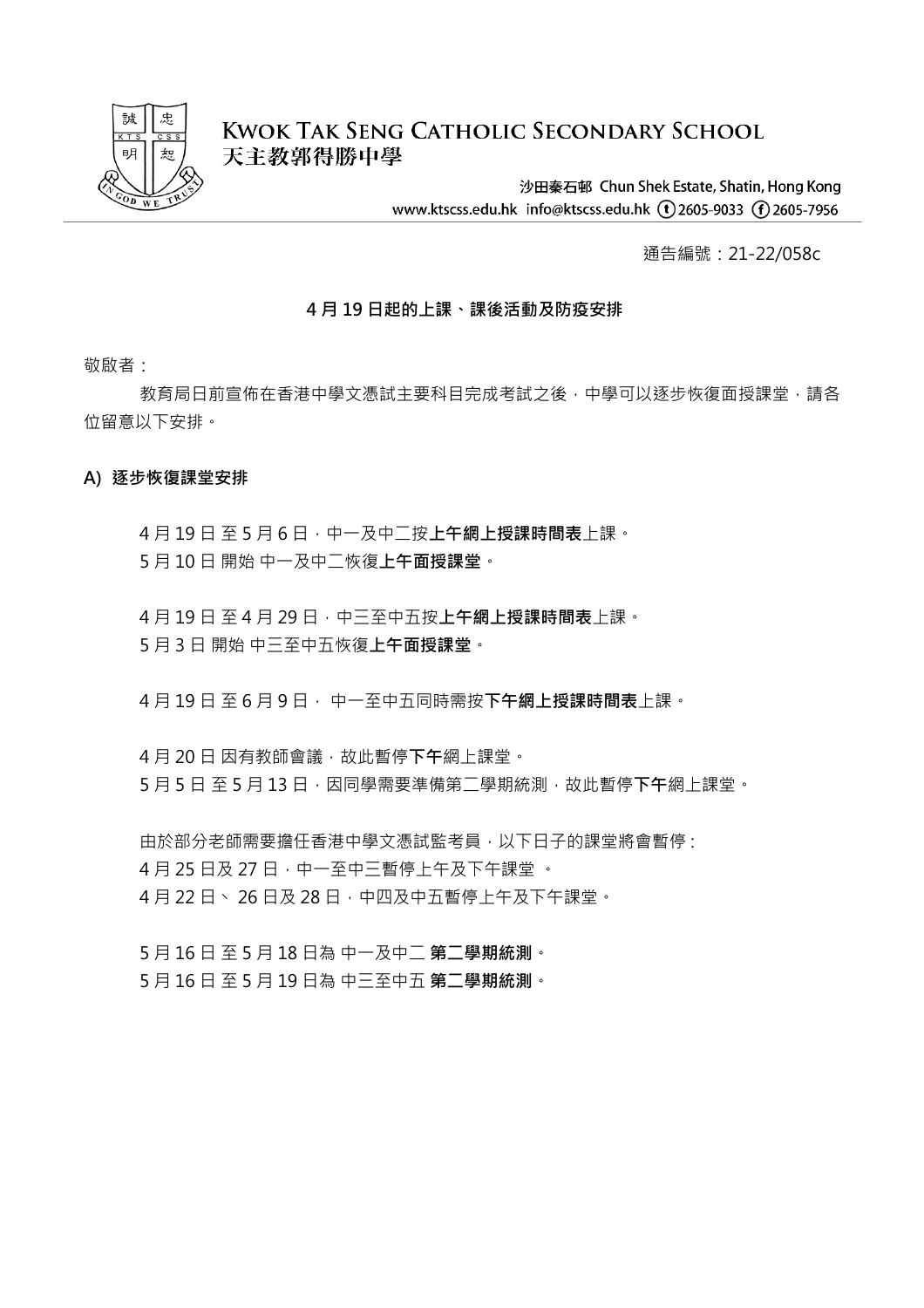

# **KWOK TAK SENG CATHOLIC SECONDARY SCHOOL** 天主教郭得勝中學

沙田秦石邨 Chun Shek Estate, Shatin, Hong Kong www.ktscss.edu.hk info@ktscss.edu.hk (t)2605-9033 (f)2605-7956

通告編號:21-22/058c

### **4 月 19 日起的上課、課後活動及防疫安排**

敬啟者:

教育局日前宣佈在香港中學文憑試主要科目完成考試之後,中學可以逐步恢復面授課堂,請各 位留意以下安排。

### **A) 逐步恢復課堂安排**

4 月 19 日 至 5 月 6 日,中一及中二按**上午網上授課時間表**上課。 5 月 10 日 開始 中一及中二恢復**上午面授課堂**。

4 月 19 日 至 4 月 29 日,中三至中五按**上午網上授課時間表**上課。 5 月 3 日 開始 中三至中五恢復**上午面授課堂**。

4 月 19 日 至 6 月 9 日, 中一至中五同時需按**下午網上授課時間表**上課。

4月 20日因有教師會議,故此暫停下午網上課堂。 5 月 5 日 至 5 月 13 日,因同學需要準備第二學期統測,故此暫停下午網上課堂。

由於部分老師需要擔任香港中學文憑試監考員,以下日子的課堂將會暫停: 4月25日及27日,中一至中三暫停上午及下午課堂。 4月22日、26日及28日,中四及中五暫停上午及下午課堂。

5 月 16 日 至 5 月 18 日為 中一及中二 **第二學期統測**。 5 月 16 日 至 5 月 19 日為 中三至中五 **第二學期統測**。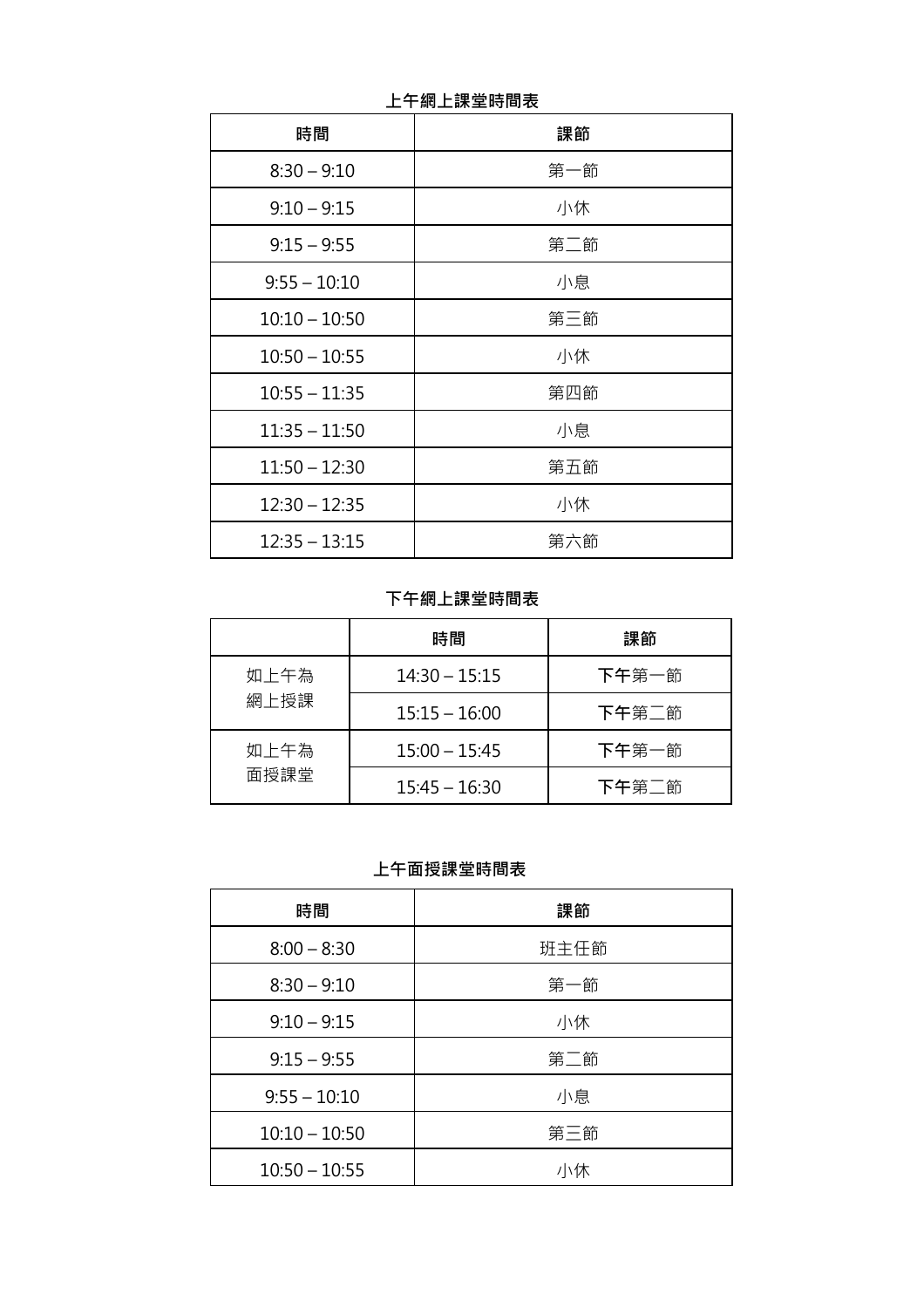| 時間              | 課節  |
|-----------------|-----|
| $8:30 - 9:10$   | 第一節 |
| $9:10 - 9:15$   | 小休  |
| $9:15 - 9:55$   | 第二節 |
| $9:55 - 10:10$  | 小息  |
| $10:10 - 10:50$ | 第三節 |
| $10:50 - 10:55$ | 小休  |
| $10:55 - 11:35$ | 第四節 |
| $11:35 - 11:50$ | 小息  |
| $11:50 - 12:30$ | 第五節 |
| $12:30 - 12:35$ | 小休  |
| $12:35 - 13:15$ | 第六節 |

**上午網上課堂時間表**

**下午網上課堂時間表**

|      | 時間              | 課節    |
|------|-----------------|-------|
| 如上午為 | $14:30 - 15:15$ | 下午第一節 |
| 網上授課 | $15:15 - 16:00$ | 下午第二節 |
| 如上午為 | $15:00 - 15:45$ | 下午第一節 |
| 面授課堂 | $15:45 - 16:30$ | 下午第二節 |

 **上午面授課堂時間表**

| 時間              | 課節   |
|-----------------|------|
| $8:00 - 8:30$   | 班主任節 |
| $8:30 - 9:10$   | 第一節  |
| $9:10 - 9:15$   | 小休   |
| $9:15 - 9:55$   | 第二節  |
| $9:55 - 10:10$  | 小息   |
| $10:10 - 10:50$ | 第三節  |
| $10:50 - 10:55$ | 小休   |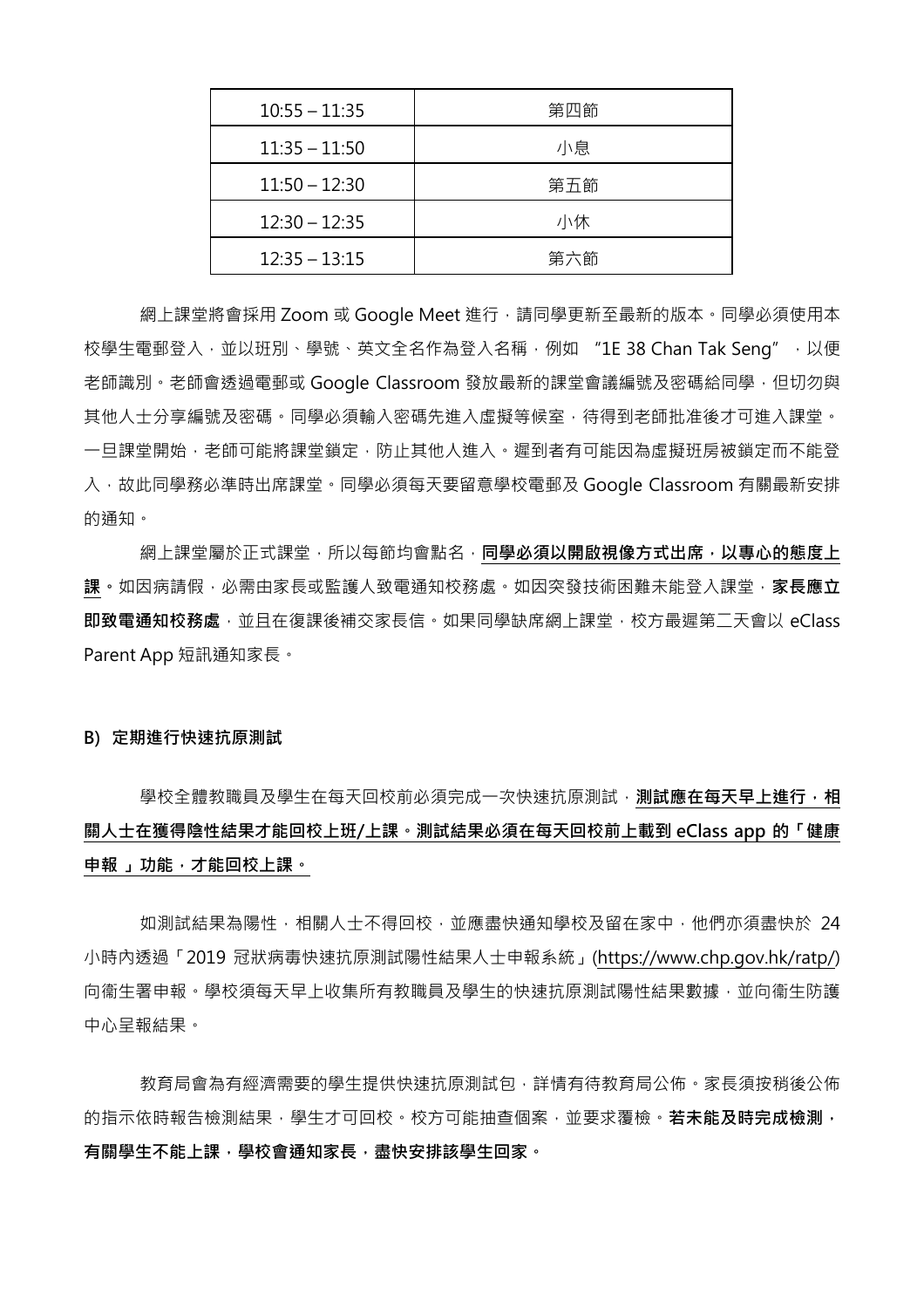| $10:55 - 11:35$ | 第四節 |
|-----------------|-----|
| $11:35 - 11:50$ | 小息  |
| $11:50 - 12:30$ | 第五節 |
| $12:30 - 12:35$ | 小休  |
| $12:35 - 13:15$ | 第六節 |

網上課堂將會採用 Zoom 或 Google Meet 進行,請同學更新至最新的版本。同學必須使用本 校學生電郵登入,並以班別、學號、英文全名作為登入名稱,例如 "1E 38 Chan Tak Seng",以便 老師識別。老師會透過電郵或 Google Classroom 發放最新的課堂會議編號及密碼給同學,但切勿與 其他人士分享編號及密碼。同學必須輸入密碼先進入虛擬等候室,待得到老師批准後才可進入課堂。 一旦課堂開始,老師可能將課堂鎖定,防止其他人進入。遲到者有可能因為虛擬班房被鎖定而不能登 入, 故此同學務必準時出席課堂。同學必須每天要留意學校電郵及 Google Classroom 有關最新安排 的通知。

網上課堂屬於正式課堂,所以每節均會點名,**同學必須以開啟視像方式出席,以專心的態度上 課。**如因病請假,必需由家長或監護人致電通知校務處。如因突發技術困難未能登入課堂,**家長應立 即致電通知校務處**,並且在復課後補交家長信。如果同學缺席網上課堂,校方最遲第二天會以 eClass Parent App 短訊通知家長。

#### **B) 定期進行快速抗原測試**

學校全體教職員及學生在每天回校前必須完成一次快速抗原測試 · **測試應在每天早上進行 · 相 關人士在獲得陰性結果才能回校上班/上課。測試結果必須在每天回校前上載到 eClass app 的「健康 申報 」功能,才能回校上課。**

如測試結果為陽性,相關人士不得回校,並應盡快通知學校及留在家中,他們亦須盡快於 24 小時內透過「2019 冠狀病毒快速抗原測試陽性結果人士申報系統」[\(https://www.chp.gov.hk/ratp/\)](https://www.chp.gov.hk/ratp/) 向衞生署申報。學校須每天早上收集所有教職員及學生的快速抗原測試陽性結果數據,並向衞生防護 中心呈報結果。

教育局會為有經濟需要的學生提供快速抗原測試包,詳情有待教育局公佈。家長須按稍後公佈 的指示依時報告檢測結果,學生才可回校,校方可能抽查個案,並要求覆檢,**若未能及時完成檢測**, **有關學生不能上課,學校會通知家長,盡快安排該學生回家。**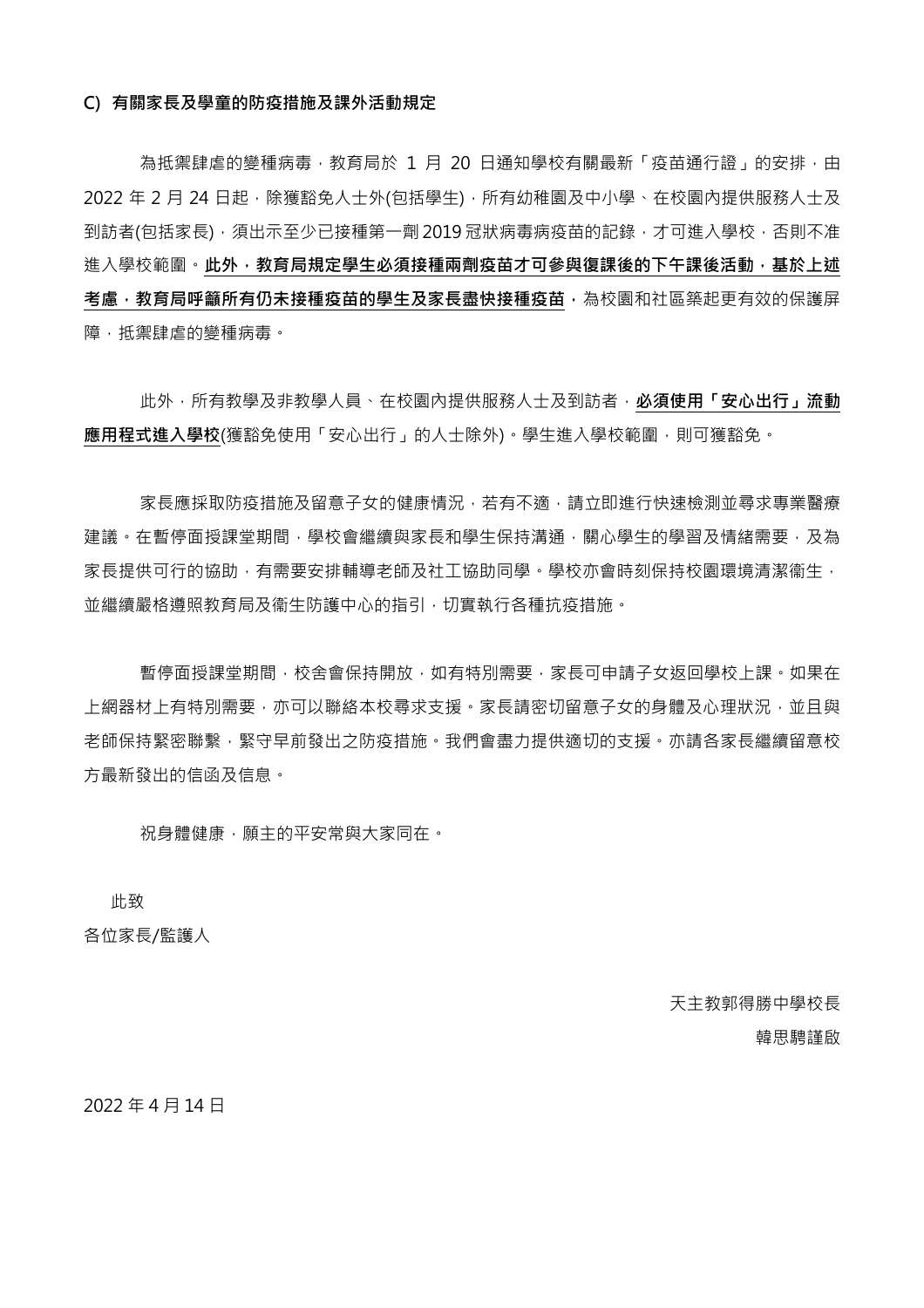#### **C) 有關家長及學童的防疫措施及課外活動規定**

為抵禦肆虐的變種病毒,教育局於 1 月 20 日通知學校有關最新「疫苗通行證」的安排,由 2022 年 2 月 24 日起,除獲豁免人士外(包括學生), 所有幼稚園及中小學、在校園內提供服務人士及 到訪者(包括家長),須出示至少已接種第一劑 2019 冠狀病毒病疫苗的記錄,才可進入學校,否則不准 進入學校範圍。**此外, 教育局規定學生必須接種兩劑疫苗才可參與復課後的下午課後活動, 基於上述 考慮,教育局呼籲所有仍未接種疫苗的學生及家長盡快接種疫苗,**為校園和社區築起更有效的保護屏 障,抵禦肆虐的變種病毒。

此外,所有教學及非教學人員、在校園內提供服務人士及到訪者,**必須使用「安心出行」流動 應用程式進入學校**(獲豁免使用「安心出行」的人士除外)。學生進入學校範圍,則可獲豁免。

家長應採取防疫措施及留意子女的健康情況,若有不適,請立即進行快速檢測並尋求專業醫療 建議。在暫停面授課堂期間,學校會繼續與家長和學生保持溝涌,關心學生的學習及情緒需要,及為 家長提供可行的協助,有需要安排輔導老師及社工協助同學。學校亦會時刻保持校園環境清潔衞生, 並繼續嚴格遵照教育局及衞生防護中心的指引,切實執行各種抗疫措施。

暫停面授課堂期間,校舍會保持開放,如有特別需要,家長可申請子女返回學校上課。如果在 上網器材上有特別需要,亦可以聯絡本校尋求支援。家長請密切留意子女的身體及心理狀況,並且與 老師保持緊密聯繫,緊守早前發出之防疫措施。我們會盡力提供適切的支援。亦請各家長繼續留意校 方最新發出的信函及信息。

祝身體健康,願主的平安常與大家同在。

此致

各位家長/監護人

天主教郭得勝中學校長 韓思騁謹啟

2022 年 4 月 14 日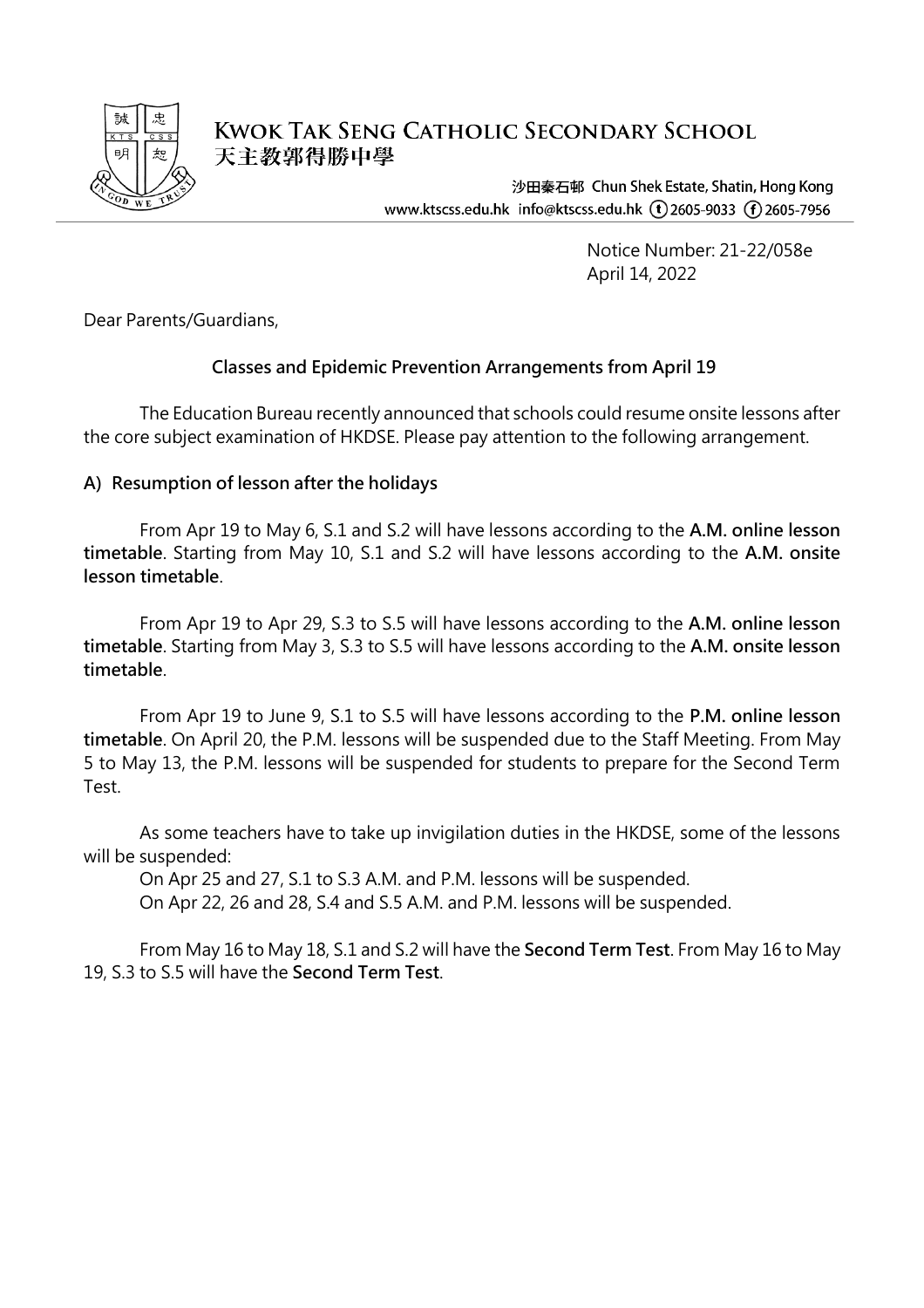

**KWOK TAK SENG CATHOLIC SECONDARY SCHOOL** 天主教郭得勝中學

> 沙田秦石邨 Chun Shek Estate, Shatin, Hong Kong www.ktscss.edu.hk info@ktscss.edu.hk (1) 2605-9033 (1) 2605-7956

> > Notice Number: 21-22/058e April 14, 2022

Dear Parents/Guardians,

# **Classes and Epidemic Prevention Arrangements from April 19**

The Education Bureau recently announced that schools could resume onsite lessons after the core subject examination of HKDSE. Please pay attention to the following arrangement.

## **A) Resumption of lesson after the holidays**

From Apr 19 to May 6, S.1 and S.2 will have lessons according to the **A.M. online lesson timetable**. Starting from May 10, S.1 and S.2 will have lessons according to the **A.M. onsite lesson timetable**.

From Apr 19 to Apr 29, S.3 to S.5 will have lessons according to the **A.M. online lesson timetable**. Starting from May 3, S.3 to S.5 will have lessons according to the **A.M. onsite lesson timetable**.

From Apr 19 to June 9, S.1 to S.5 will have lessons according to the **P.M. online lesson timetable**. On April 20, the P.M. lessons will be suspended due to the Staff Meeting. From May 5 to May 13, the P.M. lessons will be suspended for students to prepare for the Second Term Test.

As some teachers have to take up invigilation duties in the HKDSE, some of the lessons will be suspended:

On Apr 25 and 27, S.1 to S.3 A.M. and P.M. lessons will be suspended.

On Apr 22, 26 and 28, S.4 and S.5 A.M. and P.M. lessons will be suspended.

From May 16 to May 18, S.1 and S.2 will have the **Second Term Test**. From May 16 to May 19, S.3 to S.5 will have the **Second Term Test**.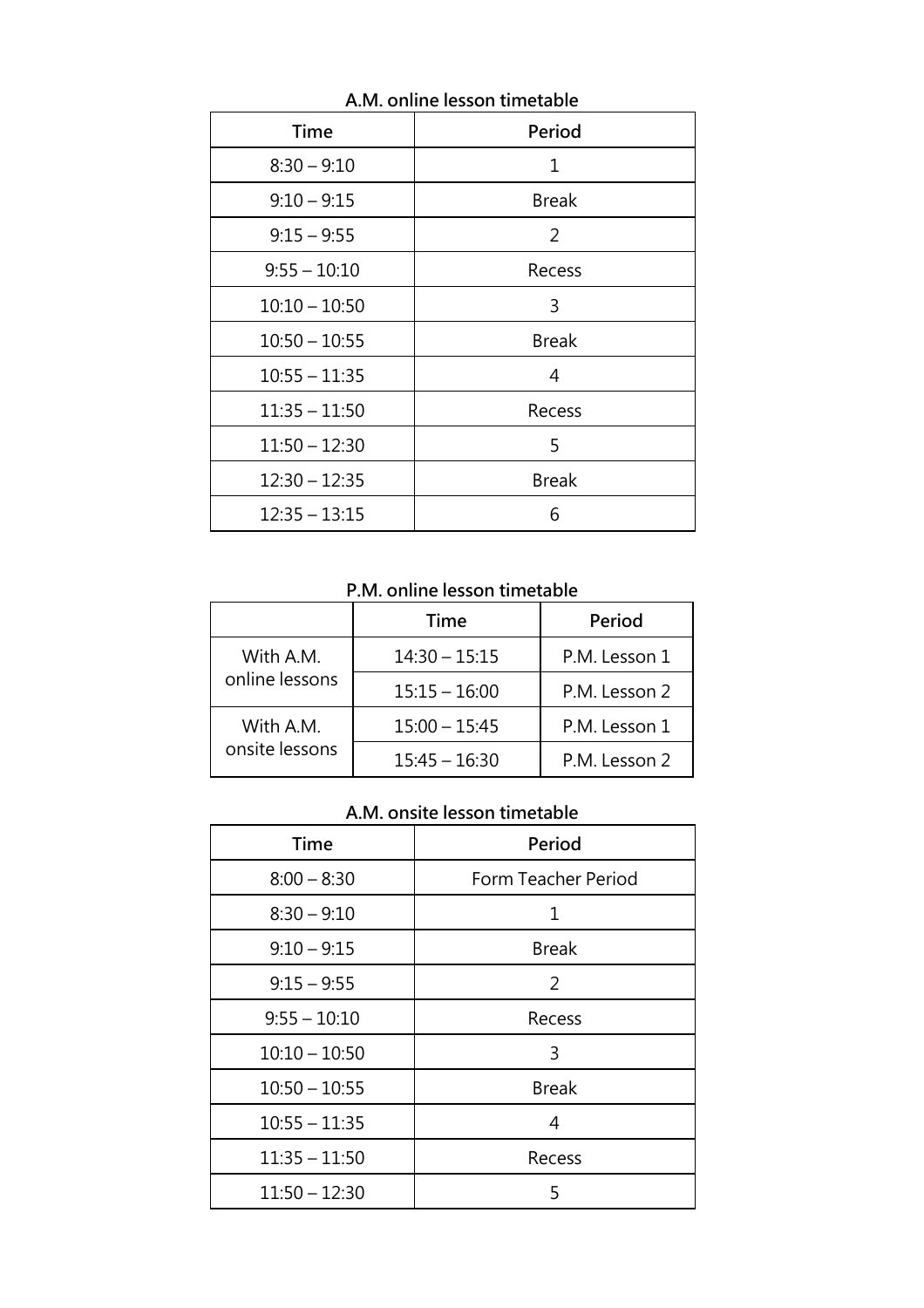| <b>Time</b>     | <b>Period</b> |
|-----------------|---------------|
| $8:30 - 9:10$   | 1             |
| $9:10 - 9:15$   | <b>Break</b>  |
| $9:15 - 9:55$   | 2             |
| $9:55 - 10:10$  | Recess        |
| $10:10 - 10:50$ | 3             |
| $10:50 - 10:55$ | <b>Break</b>  |
| $10:55 - 11:35$ | 4             |
| $11:35 - 11:50$ | Recess        |
| $11:50 - 12:30$ | 5             |
| $12:30 - 12:35$ | <b>Break</b>  |
| $12:35 - 13:15$ | 6             |

**A.M. online lesson timetable**

**P.M. online lesson timetable**

|                | Time            | Period        |
|----------------|-----------------|---------------|
| With A.M.      | $14:30 - 15:15$ | P.M. Lesson 1 |
| online lessons | $15:15 - 16:00$ | P.M. Lesson 2 |
| With A.M.      | $15:00 - 15:45$ | P.M. Lesson 1 |
| onsite lessons | $15:45 - 16:30$ | P.M. Lesson 2 |

# **A.M. onsite lesson timetable**

| <b>Time</b>     | Period              |
|-----------------|---------------------|
| $8:00 - 8:30$   | Form Teacher Period |
| $8:30 - 9:10$   | 1                   |
| $9:10 - 9:15$   | <b>Break</b>        |
| $9:15 - 9:55$   | 2                   |
| $9:55 - 10:10$  | Recess              |
| $10:10 - 10:50$ | 3                   |
| $10:50 - 10:55$ | <b>Break</b>        |
| $10:55 - 11:35$ | 4                   |
| $11:35 - 11:50$ | Recess              |
| $11:50 - 12:30$ | 5                   |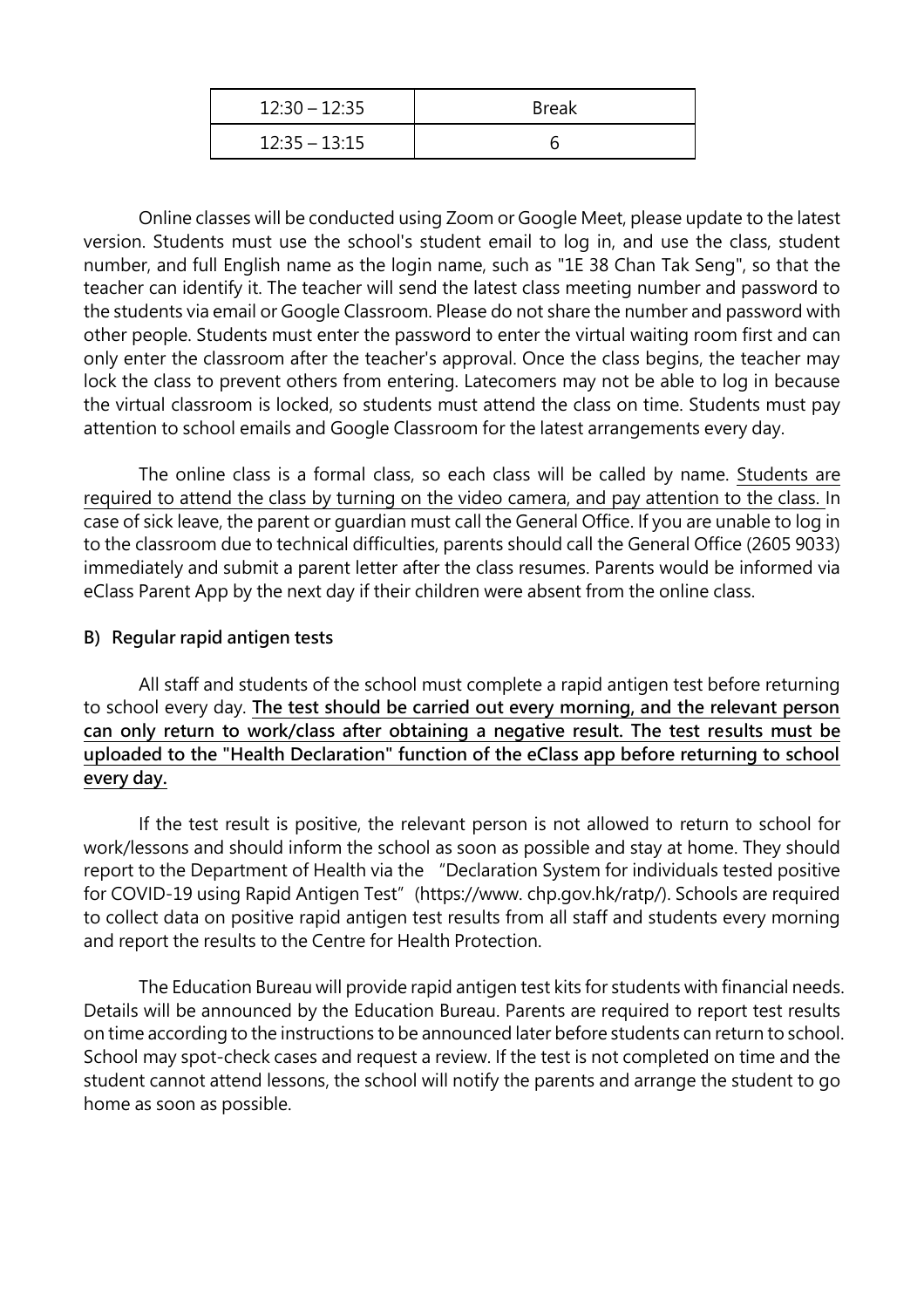| $12:30 - 12:35$ | <b>Break</b> |
|-----------------|--------------|
| $12:35 - 13:15$ |              |

Online classes will be conducted using Zoom or Google Meet, please update to the latest version. Students must use the school's student email to log in, and use the class, student number, and full English name as the login name, such as "1E 38 Chan Tak Seng", so that the teacher can identify it. The teacher will send the latest class meeting number and password to the students via email or Google Classroom. Please do not share the number and password with other people. Students must enter the password to enter the virtual waiting room first and can only enter the classroom after the teacher's approval. Once the class begins, the teacher may lock the class to prevent others from entering. Latecomers may not be able to log in because the virtual classroom is locked, so students must attend the class on time. Students must pay attention to school emails and Google Classroom for the latest arrangements every day.

The online class is a formal class, so each class will be called by name. Students are required to attend the class by turning on the video camera, and pay attention to the class. In case of sick leave, the parent or guardian must call the General Office. If you are unable to log in to the classroom due to technical difficulties, parents should call the General Office (2605 9033) immediately and submit a parent letter after the class resumes. Parents would be informed via eClass Parent App by the next day if their children were absent from the online class.

## **B) Regular rapid antigen tests**

All staff and students of the school must complete a rapid antigen test before returning to school every day. **The test should be carried out every morning, and the relevant person can only return to work/class after obtaining a negative result. The test results must be uploaded to the "Health Declaration" function of the eClass app before returning to school every day.**

If the test result is positive, the relevant person is not allowed to return to school for work/lessons and should inform the school as soon as possible and stay at home. They should report to the Department of Health via the "Declaration System for individuals tested positive for COVID-19 using Rapid Antigen Test" (https://www. chp.gov.hk/ratp/). Schools are required to collect data on positive rapid antigen test results from all staff and students every morning and report the results to the Centre for Health Protection.

The Education Bureau will provide rapid antigen test kits for students with financial needs. Details will be announced by the Education Bureau. Parents are required to report test results on time according to the instructions to be announced later before students can return to school. School may spot-check cases and request a review. If the test is not completed on time and the student cannot attend lessons, the school will notify the parents and arrange the student to go home as soon as possible.